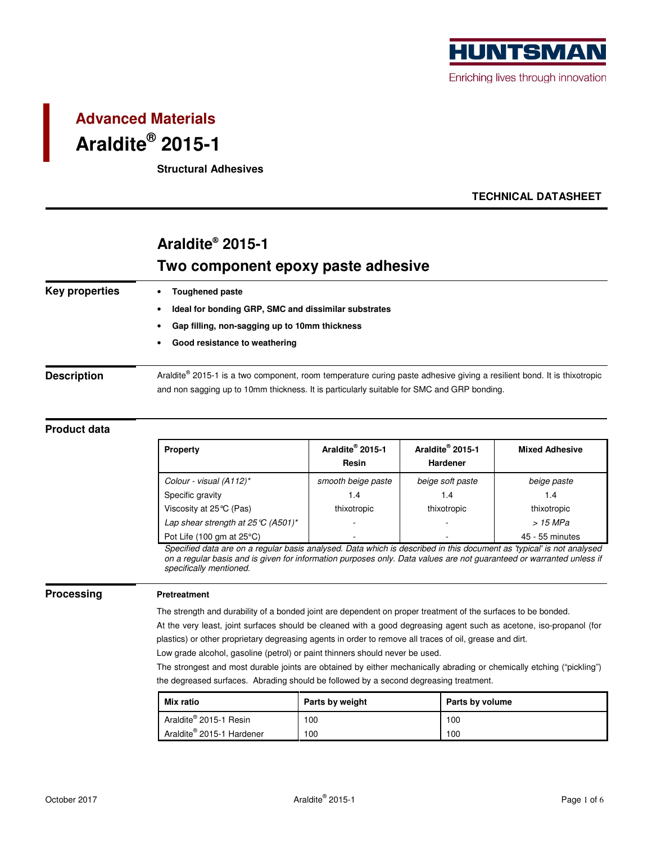

# **Advanced Materials Araldite® 2015-1**

**Structural Adhesives** 

### **TECHNICAL DATASHEET**

# **Araldite® 2015-1 Two component epoxy paste adhesive**

| <b>Key properties</b> | <b>Toughened paste</b>                                                                                                 |  |  |  |  |
|-----------------------|------------------------------------------------------------------------------------------------------------------------|--|--|--|--|
|                       | Ideal for bonding GRP, SMC and dissimilar substrates                                                                   |  |  |  |  |
|                       | Gap filling, non-sagging up to 10mm thickness                                                                          |  |  |  |  |
|                       | Good resistance to weathering                                                                                          |  |  |  |  |
| <b>Description</b>    | Araldite® 2015-1 is a two component, room temperature curing paste adhesive giving a resilient bond. It is thixotropic |  |  |  |  |
|                       | and non sagging up to 10mm thickness. It is particularly suitable for SMC and GRP bonding.                             |  |  |  |  |

### **Product data**

| <b>Property</b>                                     | Araldite <sup>®</sup> 2015-1<br>Resin | Araldite <sup>®</sup> 2015-1<br><b>Hardener</b> | <b>Mixed Adhesive</b> |
|-----------------------------------------------------|---------------------------------------|-------------------------------------------------|-----------------------|
| Colour - visual (A112)*                             | smooth beige paste                    | beige soft paste                                | beige paste           |
| Specific gravity                                    | 1.4                                   | 1.4                                             | 1.4                   |
| Viscosity at $25^{\circ}$ C (Pas)                   | thixotropic                           | thixotropic                                     | thixotropic           |
| Lap shear strength at $25^{\circ}C(4501)^{*}$       |                                       |                                                 | > 15 MPa              |
| Pot Life $(100 \text{ gm at } 25^{\circ} \text{C})$ |                                       |                                                 | 45 - 55 minutes       |

Specified data are on a regular basis analysed. Data which is described in this document as 'typical' is not analysed on a regular basis and is given for information purposes only. Data values are not guaranteed or warranted unless if specifically mentioned.

#### **Processing Pretreatment**

The strength and durability of a bonded joint are dependent on proper treatment of the surfaces to be bonded.

At the very least, joint surfaces should be cleaned with a good degreasing agent such as acetone, iso-propanol (for plastics) or other proprietary degreasing agents in order to remove all traces of oil, grease and dirt.

Low grade alcohol, gasoline (petrol) or paint thinners should never be used.

The strongest and most durable joints are obtained by either mechanically abrading or chemically etching ("pickling") the degreased surfaces. Abrading should be followed by a second degreasing treatment.

| <b>Mix ratio</b>                      | Parts by weight | Parts by volume |
|---------------------------------------|-----------------|-----------------|
| Araldite <sup>®</sup> 2015-1 Resin    | 100             | 100             |
| Araldite <sup>®</sup> 2015-1 Hardener | 100             | 100             |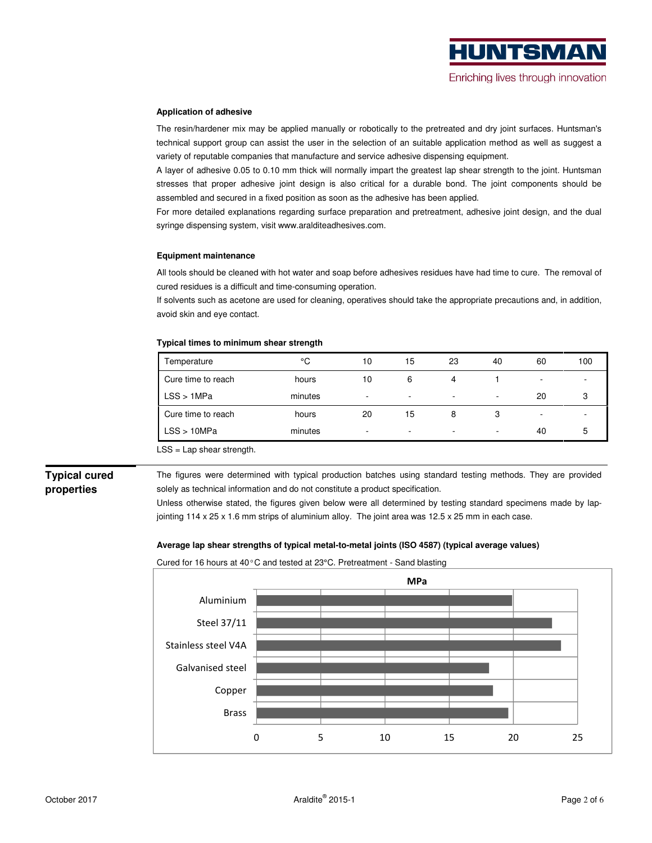#### **Application of adhesive**

The resin/hardener mix may be applied manually or robotically to the pretreated and dry joint surfaces. Huntsman's technical support group can assist the user in the selection of an suitable application method as well as suggest a variety of reputable companies that manufacture and service adhesive dispensing equipment.

A layer of adhesive 0.05 to 0.10 mm thick will normally impart the greatest lap shear strength to the joint. Huntsman stresses that proper adhesive joint design is also critical for a durable bond. The joint components should be assembled and secured in a fixed position as soon as the adhesive has been applied.

For more detailed explanations regarding surface preparation and pretreatment, adhesive joint design, and the dual syringe dispensing system, visit www.aralditeadhesives.com.

#### **Equipment maintenance**

All tools should be cleaned with hot water and soap before adhesives residues have had time to cure. The removal of cured residues is a difficult and time-consuming operation.

If solvents such as acetone are used for cleaning, operatives should take the appropriate precautions and, in addition, avoid skin and eye contact.

#### **Typical times to minimum shear strength**

| Temperature        | °C      | 10     | 15                       | 23                       | 40     | 60                       | 100    |
|--------------------|---------|--------|--------------------------|--------------------------|--------|--------------------------|--------|
| Cure time to reach | hours   | 10     | 6                        | 4                        |        | $\overline{\phantom{0}}$ |        |
| LSS > 1MPa         | minutes | $\sim$ | $\overline{\phantom{0}}$ | $\sim$                   | $\sim$ | 20                       | ີ<br>ບ |
| Cure time to reach | hours   | 20     | 15                       | 8                        | 3      | $\overline{\phantom{a}}$ |        |
| LSS > 10MPa        | minutes | $\sim$ | $\overline{\phantom{a}}$ | $\overline{\phantom{a}}$ | $\sim$ | 40                       | 5      |

LSS = Lap shear strength.

### **Typical cured properties**

The figures were determined with typical production batches using standard testing methods. They are provided solely as technical information and do not constitute a product specification.

Unless otherwise stated, the figures given below were all determined by testing standard specimens made by lapjointing 114 x 25 x 1.6 mm strips of aluminium alloy. The joint area was 12.5 x 25 mm in each case.

### **Average lap shear strengths of typical metal-to-metal joints (ISO 4587) (typical average values)**

Cured for 16 hours at 40°C and tested at 23°C. Pretreatment - Sand blasting

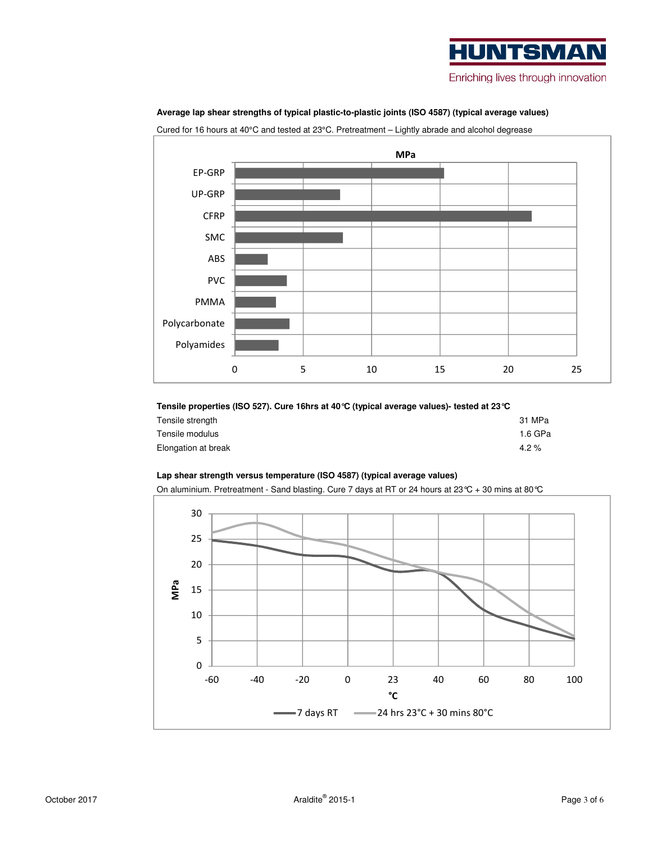# **HUNTSMA** Enriching lives through innovation



### **Average lap shear strengths of typical plastic-to-plastic joints (ISO 4587) (typical average values)**

Cured for 16 hours at 40°C and tested at 23°C. Pretreatment – Lightly abrade and alcohol degrease

## **Tensile properties (ISO 527). Cure 16hrs at 40°C (typical average values)- tested at 23°C**

| Tensile strength    | 31 MPa  |
|---------------------|---------|
| Tensile modulus     | 1.6 GPa |
| Elongation at break | $4.2\%$ |

### **Lap shear strength versus temperature (ISO 4587) (typical average values)**

On aluminium. Pretreatment - Sand blasting. Cure 7 days at RT or 24 hours at 23°C + 30 mins at 80°C

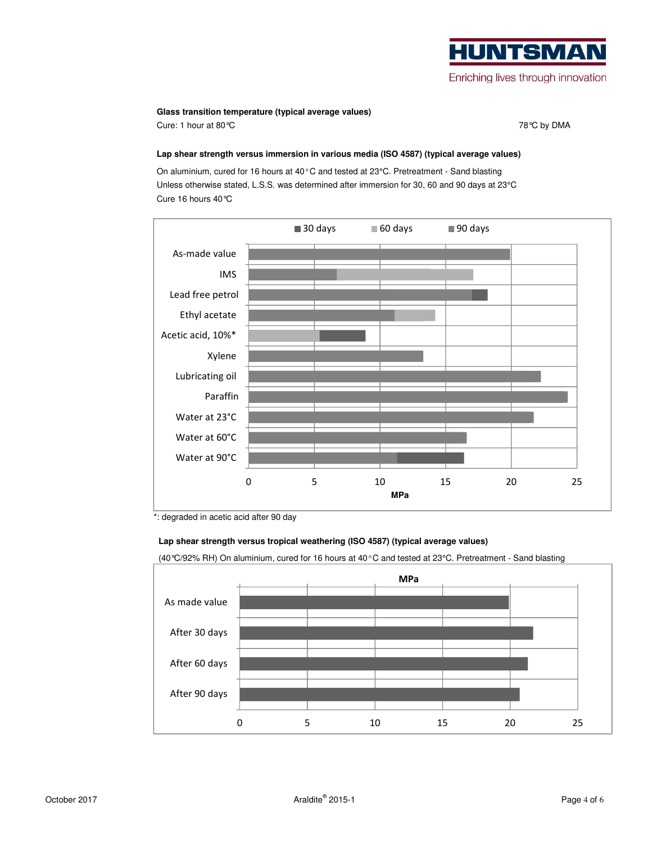# **HUNTSMA** Enriching lives through innovation

### **Glass transition temperature (typical average values)**

Cure: 1 hour at 80 ℃ **78°C** by DMA

### **Lap shear strength versus immersion in various media (ISO 4587) (typical average values)**

On aluminium, cured for 16 hours at 40°C and tested at 23°C. Pretreatment - Sand blasting Unless otherwise stated, L.S.S. was determined after immersion for 30, 60 and 90 days at 23°C Cure 16 hours 40°C



\*: degraded in acetic acid after 90 day

### **Lap shear strength versus tropical weathering (ISO 4587) (typical average values)**

(40°C/92% RH) On aluminium, cured for 16 hours at 40°C and tested at 23°C. Pretreatment - Sand blasting

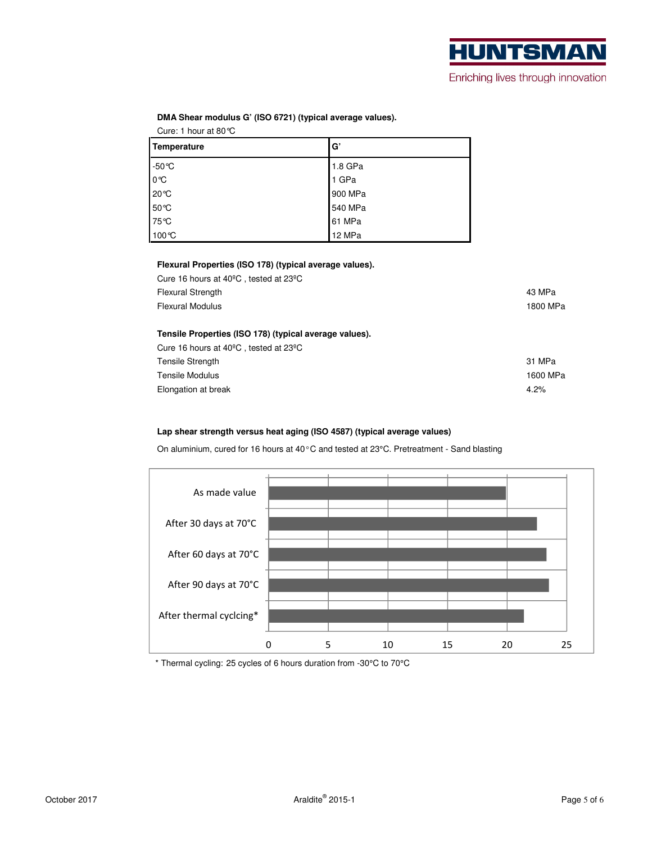| Temperature     | G       |
|-----------------|---------|
| $-50^{\circ}$ C | 1.8 GPa |
| 0℃              | 1 GPa   |
| 20 °C           | 900 MPa |
| 50 °C           | 540 MPa |
| 75 °C           | 61 MPa  |
| 100°C           | 12 MPa  |

**DMA Shear modulus G' (ISO 6721) (typical average values).** 

### **Flexural Properties (ISO 178) (typical average values).**

| Cure 16 hours at $40^{\circ}$ C, tested at 23 $^{\circ}$ C |          |
|------------------------------------------------------------|----------|
| <b>Flexural Strength</b>                                   | 43 MPa   |
| <b>Flexural Modulus</b>                                    | 1800 MPa |
|                                                            |          |
| Tensile Properties (ISO 178) (typical average values).     |          |
| Cure 16 hours at $40^{\circ}$ C, tested at 23 $^{\circ}$ C |          |
| <b>Tensile Strength</b>                                    | 31 MPa   |
| Tensile Modulus                                            | 1600 MPa |
| Elongation at break                                        | $4.2\%$  |

### **Lap shear strength versus heat aging (ISO 4587) (typical average values)**

On aluminium, cured for 16 hours at 40°C and tested at 23°C. Pretreatment - Sand blasting



\* Thermal cycling: 25 cycles of 6 hours duration from -30°C to 70°C